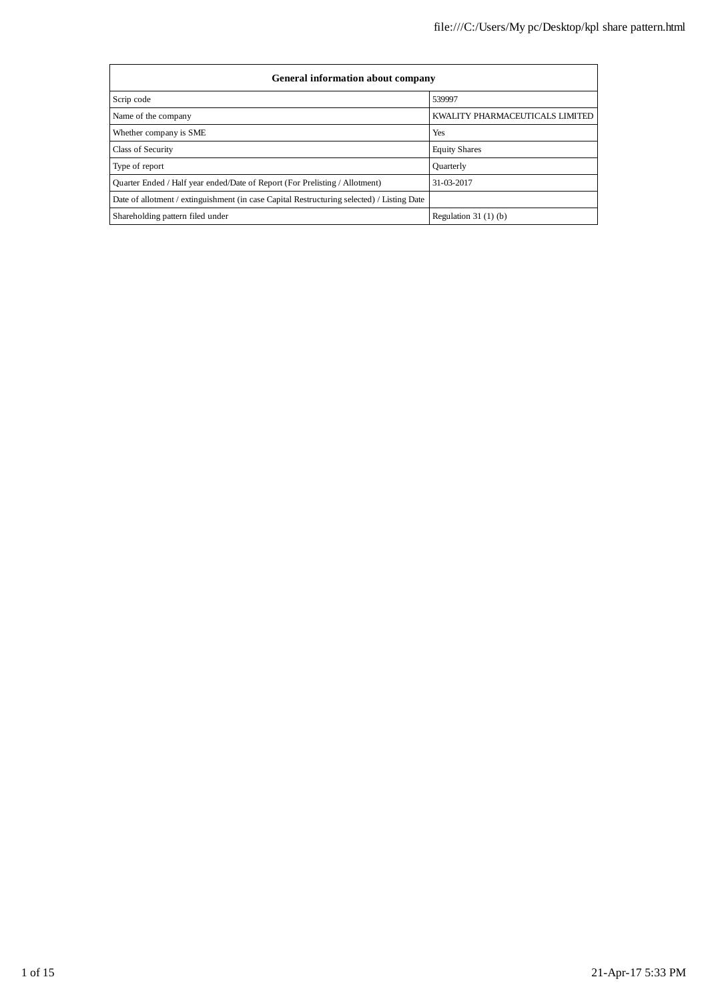| <b>General information about company</b>                                                   |                                 |  |  |  |  |  |
|--------------------------------------------------------------------------------------------|---------------------------------|--|--|--|--|--|
| Scrip code                                                                                 | 539997                          |  |  |  |  |  |
| Name of the company                                                                        | KWALITY PHARMACEUTICALS LIMITED |  |  |  |  |  |
| Whether company is SME                                                                     | Yes                             |  |  |  |  |  |
| Class of Security                                                                          | <b>Equity Shares</b>            |  |  |  |  |  |
| Type of report                                                                             | Quarterly                       |  |  |  |  |  |
| Quarter Ended / Half year ended/Date of Report (For Prelisting / Allotment)                | 31-03-2017                      |  |  |  |  |  |
| Date of allotment / extinguishment (in case Capital Restructuring selected) / Listing Date |                                 |  |  |  |  |  |
| Shareholding pattern filed under                                                           | Regulation $31(1)(b)$           |  |  |  |  |  |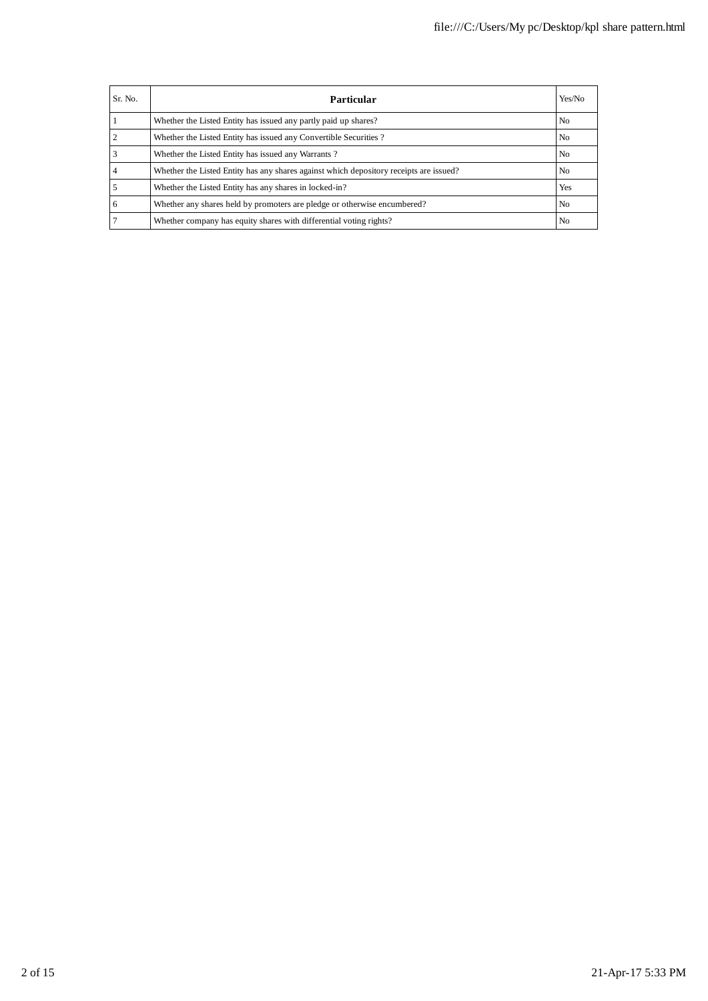| Sr. No. | Particular                                                                             | Yes/No         |
|---------|----------------------------------------------------------------------------------------|----------------|
|         | Whether the Listed Entity has issued any partly paid up shares?                        | N <sub>0</sub> |
|         | Whether the Listed Entity has issued any Convertible Securities?                       | No             |
| 3       | Whether the Listed Entity has issued any Warrants?                                     | No             |
| 4       | Whether the Listed Entity has any shares against which depository receipts are issued? | No.            |
|         | Whether the Listed Entity has any shares in locked-in?                                 | Yes            |
| 6       | Whether any shares held by promoters are pledge or otherwise encumbered?               | N <sub>0</sub> |
|         | Whether company has equity shares with differential voting rights?                     | No.            |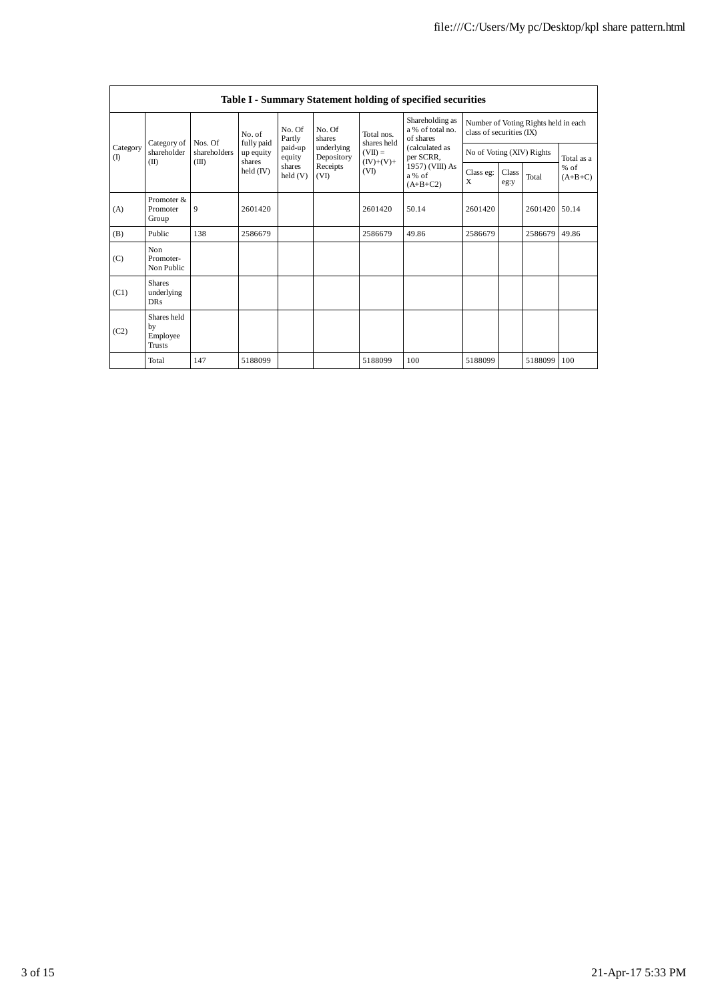|                          | Table I - Summary Statement holding of specified securities |                                  |                                   |                   |                                                                  |                                  |                                                                        |                                                                  |               |         |                     |
|--------------------------|-------------------------------------------------------------|----------------------------------|-----------------------------------|-------------------|------------------------------------------------------------------|----------------------------------|------------------------------------------------------------------------|------------------------------------------------------------------|---------------|---------|---------------------|
| Category<br>$($ $\Gamma$ |                                                             | No. of                           |                                   | No. Of<br>Partly  | No. Of<br>shares<br>underlying<br>Depository<br>Receipts<br>(VI) | Total nos.<br>shares held        | Shareholding as<br>a % of total no.<br>of shares                       | Number of Voting Rights held in each<br>class of securities (IX) |               |         |                     |
|                          | Category of<br>shareholder<br>(II)                          | Nos. Of<br>shareholders<br>(III) | fully paid<br>up equity<br>shares | paid-up<br>equity |                                                                  | $(VII) =$<br>$(IV)+(V)+$<br>(VI) | (calculated as<br>per SCRR,<br>1957) (VIII) As<br>a % of<br>$(A+B+C2)$ | No of Voting (XIV) Rights                                        |               |         | Total as a          |
|                          |                                                             |                                  | held (IV)                         | shares<br>held(V) |                                                                  |                                  |                                                                        | Class eg:<br>X                                                   | Class<br>eg:y | Total   | $%$ of<br>$(A+B+C)$ |
| (A)                      | Promoter &<br>Promoter<br>Group                             | 9                                | 2601420                           |                   |                                                                  | 2601420                          | 50.14                                                                  | 2601420                                                          |               | 2601420 | 50.14               |
| (B)                      | Public                                                      | 138                              | 2586679                           |                   |                                                                  | 2586679                          | 49.86                                                                  | 2586679                                                          |               | 2586679 | 49.86               |
| (C)                      | Non<br>Promoter-<br>Non Public                              |                                  |                                   |                   |                                                                  |                                  |                                                                        |                                                                  |               |         |                     |
| (C1)                     | <b>Shares</b><br>underlying<br><b>DRs</b>                   |                                  |                                   |                   |                                                                  |                                  |                                                                        |                                                                  |               |         |                     |
| (C2)                     | Shares held<br>by<br>Employee<br>Trusts                     |                                  |                                   |                   |                                                                  |                                  |                                                                        |                                                                  |               |         |                     |
|                          | Total                                                       | 147                              | 5188099                           |                   |                                                                  | 5188099                          | 100                                                                    | 5188099                                                          |               | 5188099 | 100                 |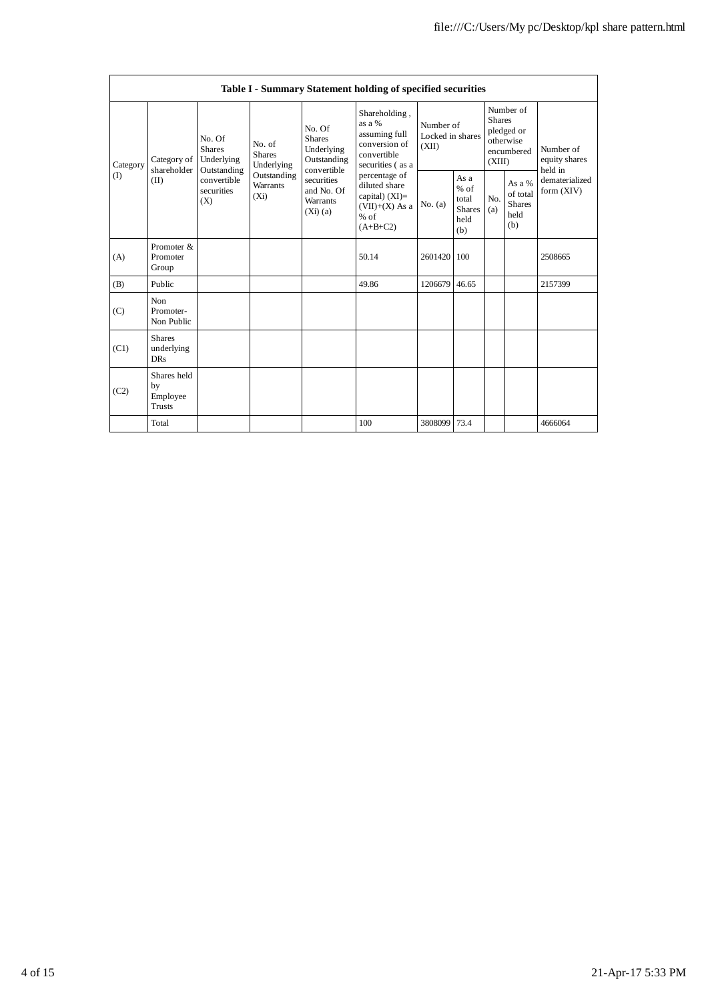| Table I - Summary Statement holding of specified securities |                                                |                                                                                                                                                   |             |                                                                                                                        |                                                                                                                                                                                                |                                        |                                                         |                                                                               |                                                    |                                       |
|-------------------------------------------------------------|------------------------------------------------|---------------------------------------------------------------------------------------------------------------------------------------------------|-------------|------------------------------------------------------------------------------------------------------------------------|------------------------------------------------------------------------------------------------------------------------------------------------------------------------------------------------|----------------------------------------|---------------------------------------------------------|-------------------------------------------------------------------------------|----------------------------------------------------|---------------------------------------|
| Category<br>(I)                                             | Category of<br>shareholder<br>(II)             | No. Of<br>No. of<br><b>Shares</b><br><b>Shares</b><br>Underlying<br>Outstanding<br>convertible<br><b>Warrants</b><br>securities<br>$(X_i)$<br>(X) | Underlying  | No. Of<br><b>Shares</b><br>Underlying<br>Outstanding<br>convertible<br>securities<br>and No. Of<br>Warrants<br>(Xi)(a) | Shareholding,<br>as a %<br>assuming full<br>conversion of<br>convertible<br>securities (as a<br>percentage of<br>diluted share<br>capital) $(XI)=$<br>$(VII)+(X)$ As a<br>$%$ of<br>$(A+B+C2)$ | Number of<br>Locked in shares<br>(XII) |                                                         | Number of<br><b>Shares</b><br>pledged or<br>otherwise<br>encumbered<br>(XIII) |                                                    | Number of<br>equity shares<br>held in |
|                                                             |                                                |                                                                                                                                                   | Outstanding |                                                                                                                        |                                                                                                                                                                                                | No. (a)                                | As a<br>$%$ of<br>total<br><b>Shares</b><br>held<br>(b) | N <sub>0</sub><br>(a)                                                         | As a %<br>of total<br><b>Shares</b><br>held<br>(b) | dematerialized<br>form (XIV)          |
| (A)                                                         | Promoter &<br>Promoter<br>Group                |                                                                                                                                                   |             |                                                                                                                        | 50.14                                                                                                                                                                                          | 2601420                                | 100                                                     |                                                                               |                                                    | 2508665                               |
| (B)                                                         | Public                                         |                                                                                                                                                   |             |                                                                                                                        | 49.86                                                                                                                                                                                          | 1206679                                | 46.65                                                   |                                                                               |                                                    | 2157399                               |
| (C)                                                         | Non<br>Promoter-<br>Non Public                 |                                                                                                                                                   |             |                                                                                                                        |                                                                                                                                                                                                |                                        |                                                         |                                                                               |                                                    |                                       |
| (C1)                                                        | <b>Shares</b><br>underlying<br><b>DRs</b>      |                                                                                                                                                   |             |                                                                                                                        |                                                                                                                                                                                                |                                        |                                                         |                                                                               |                                                    |                                       |
| (C2)                                                        | Shares held<br>by<br>Employee<br><b>Trusts</b> |                                                                                                                                                   |             |                                                                                                                        |                                                                                                                                                                                                |                                        |                                                         |                                                                               |                                                    |                                       |
|                                                             | Total                                          |                                                                                                                                                   |             |                                                                                                                        | 100                                                                                                                                                                                            | 3808099                                | 73.4                                                    |                                                                               |                                                    | 4666064                               |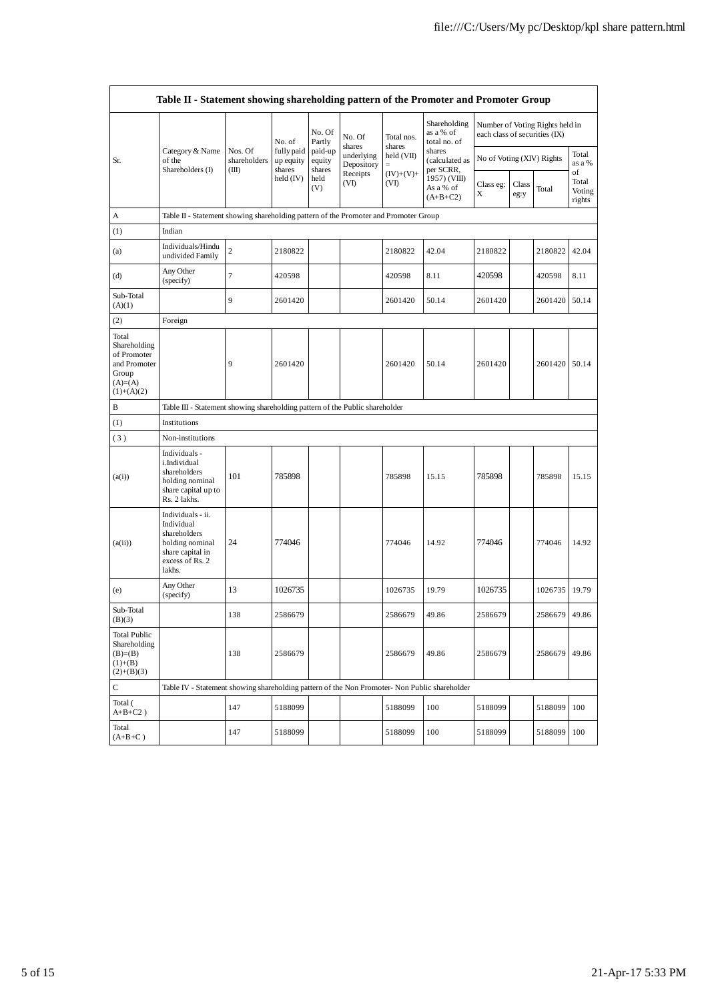|                                                                                             | Table II - Statement showing shareholding pattern of the Promoter and Promoter Group                                |                                  |                         |                             |                                                      |                                         |                                           |                               |       |                                 |                 |
|---------------------------------------------------------------------------------------------|---------------------------------------------------------------------------------------------------------------------|----------------------------------|-------------------------|-----------------------------|------------------------------------------------------|-----------------------------------------|-------------------------------------------|-------------------------------|-------|---------------------------------|-----------------|
|                                                                                             |                                                                                                                     |                                  | No. of                  | No. Of<br>Partly            | No. Of                                               | Total nos.                              | Shareholding<br>as a % of<br>total no. of | each class of securities (IX) |       | Number of Voting Rights held in |                 |
| Sr.                                                                                         | Category & Name<br>of the                                                                                           | Nos. Of<br>shareholders<br>(III) | fully paid<br>up equity | paid-up<br>equity<br>shares | shares<br>underlying<br>Depository                   | shares<br>held (VII)                    | shares<br>(calculated as                  | No of Voting (XIV) Rights     |       |                                 | Total<br>as a % |
|                                                                                             | Shareholders (I)                                                                                                    |                                  | shares<br>held $(IV)$   | held<br>(V)                 | Receipts<br>$(IV)+(V)+$<br>(VI)<br>(VI)<br>As a % of | per SCRR,<br>1957) (VIII)<br>$(A+B+C2)$ | Class eg:<br>Χ                            | Class<br>eg:y                 | Total | of<br>Total<br>Voting<br>rights |                 |
| А                                                                                           | Table II - Statement showing shareholding pattern of the Promoter and Promoter Group                                |                                  |                         |                             |                                                      |                                         |                                           |                               |       |                                 |                 |
| (1)                                                                                         | Indian                                                                                                              |                                  |                         |                             |                                                      |                                         |                                           |                               |       |                                 |                 |
| (a)                                                                                         | Individuals/Hindu<br>undivided Family                                                                               | $\mathbf{2}$                     | 2180822                 |                             |                                                      | 2180822                                 | 42.04                                     | 2180822                       |       | 2180822                         | 42.04           |
| (d)                                                                                         | Any Other<br>(specify)                                                                                              | $\tau$                           | 420598                  |                             |                                                      | 420598                                  | 8.11                                      | 420598                        |       | 420598                          | 8.11            |
| Sub-Total<br>(A)(1)                                                                         |                                                                                                                     | 9                                | 2601420                 |                             |                                                      | 2601420                                 | 50.14                                     | 2601420                       |       | 2601420 50.14                   |                 |
| (2)                                                                                         | Foreign                                                                                                             |                                  |                         |                             |                                                      |                                         |                                           |                               |       |                                 |                 |
| Total<br>Shareholding<br>of Promoter<br>and Promoter<br>Group<br>$(A)= (A)$<br>$(1)+(A)(2)$ |                                                                                                                     | 9                                | 2601420                 |                             |                                                      | 2601420                                 | 50.14                                     | 2601420                       |       | 2601420 50.14                   |                 |
| В                                                                                           | Table III - Statement showing shareholding pattern of the Public shareholder                                        |                                  |                         |                             |                                                      |                                         |                                           |                               |       |                                 |                 |
| (1)                                                                                         | Institutions                                                                                                        |                                  |                         |                             |                                                      |                                         |                                           |                               |       |                                 |                 |
| (3)                                                                                         | Non-institutions                                                                                                    |                                  |                         |                             |                                                      |                                         |                                           |                               |       |                                 |                 |
| (a(i))                                                                                      | Individuals -<br>i.Individual<br>shareholders<br>holding nominal<br>share capital up to<br>Rs. 2 lakhs.             | 101                              | 785898                  |                             |                                                      | 785898                                  | 15.15                                     | 785898                        |       | 785898                          | 15.15           |
| (a(ii))                                                                                     | Individuals - ii.<br>Individual<br>shareholders<br>holding nominal<br>share capital in<br>excess of Rs. 2<br>lakhs. | 24                               | 774046                  |                             |                                                      | 774046                                  | 14.92                                     | 774046                        |       | 774046                          | 14.92           |
| (e)                                                                                         | Any Other<br>(specify)                                                                                              | 13                               | 1026735                 |                             |                                                      | 1026735                                 | 19.79                                     | 1026735                       |       | 1026735                         | 19.79           |
| Sub-Total<br>(B)(3)                                                                         |                                                                                                                     | 138                              | 2586679                 |                             |                                                      | 2586679                                 | 49.86                                     | 2586679                       |       | 2586679 49.86                   |                 |
| <b>Total Public</b><br>Shareholding<br>$(B)= (B)$<br>$(1)+(B)$<br>$(2)+(B)(3)$              |                                                                                                                     | 138                              | 2586679                 |                             |                                                      | 2586679                                 | 49.86                                     | 2586679                       |       | 2586679 49.86                   |                 |
| $\mathsf{C}$                                                                                | Table IV - Statement showing shareholding pattern of the Non Promoter- Non Public shareholder                       |                                  |                         |                             |                                                      |                                         |                                           |                               |       |                                 |                 |
| Total (<br>$A+B+C2$ )                                                                       |                                                                                                                     | 147                              | 5188099                 |                             |                                                      | 5188099                                 | 100                                       | 5188099                       |       | 5188099                         | 100             |
| Total<br>$(A+B+C)$                                                                          |                                                                                                                     | 147                              | 5188099                 |                             |                                                      | 5188099                                 | 100                                       | 5188099                       |       | 5188099                         | 100             |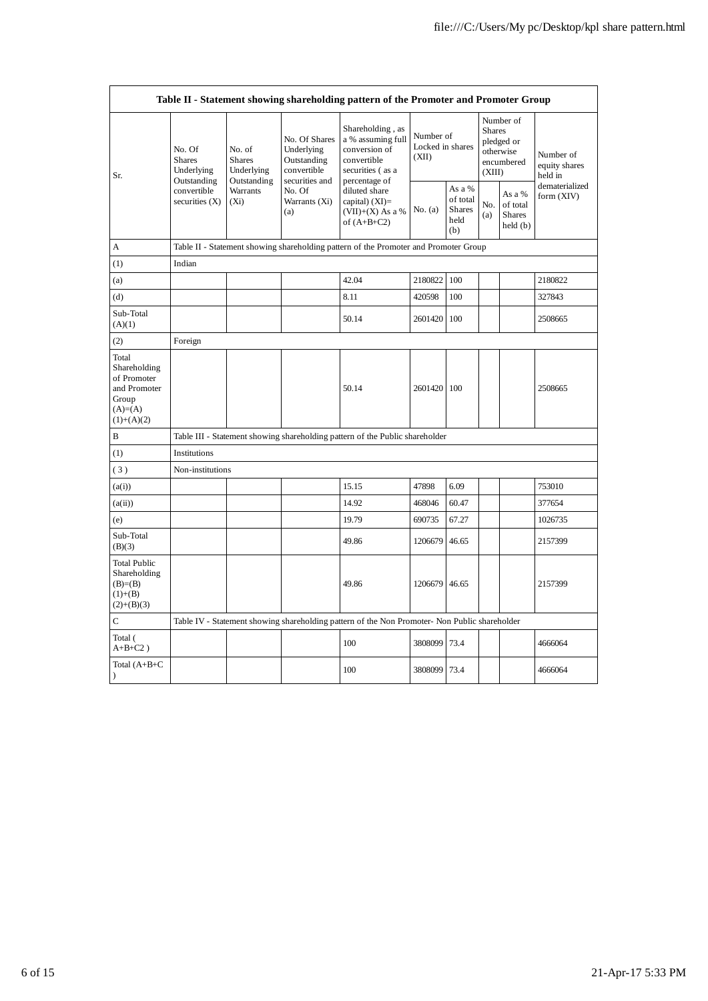| Table II - Statement showing shareholding pattern of the Promoter and Promoter Group       |                                                                                         |                                                                             |                                                           |                                                                                                                                                                                         |                                        |                                                    |                                                                               |                                                |                                       |
|--------------------------------------------------------------------------------------------|-----------------------------------------------------------------------------------------|-----------------------------------------------------------------------------|-----------------------------------------------------------|-----------------------------------------------------------------------------------------------------------------------------------------------------------------------------------------|----------------------------------------|----------------------------------------------------|-------------------------------------------------------------------------------|------------------------------------------------|---------------------------------------|
| Sr.                                                                                        | No. Of<br><b>Shares</b><br>Underlying<br>Outstanding<br>convertible<br>securities $(X)$ | No. of<br><b>Shares</b><br>Underlying<br>Outstanding<br>Warrants<br>$(X_i)$ | No. Of Shares<br>Underlying<br>Outstanding<br>convertible | Shareholding, as<br>a % assuming full<br>conversion of<br>convertible<br>securities (as a<br>percentage of<br>diluted share<br>capital) $(XI)$ =<br>$(VII)+(X)$ As a %<br>of $(A+B+C2)$ | Number of<br>Locked in shares<br>(XII) |                                                    | Number of<br><b>Shares</b><br>pledged or<br>otherwise<br>encumbered<br>(XIII) |                                                | Number of<br>equity shares<br>held in |
|                                                                                            |                                                                                         |                                                                             | securities and<br>No. Of<br>Warrants (Xi)<br>(a)          |                                                                                                                                                                                         | No. (a)                                | As a %<br>of total<br><b>Shares</b><br>held<br>(b) | No.<br>(a)                                                                    | As a %<br>of total<br><b>Shares</b><br>held(b) | dematerialized<br>form (XIV)          |
| А                                                                                          |                                                                                         |                                                                             |                                                           | Table II - Statement showing shareholding pattern of the Promoter and Promoter Group                                                                                                    |                                        |                                                    |                                                                               |                                                |                                       |
| (1)                                                                                        | Indian                                                                                  |                                                                             |                                                           |                                                                                                                                                                                         |                                        |                                                    |                                                                               |                                                |                                       |
| (a)                                                                                        |                                                                                         |                                                                             |                                                           | 42.04                                                                                                                                                                                   | 2180822                                | 100                                                |                                                                               |                                                | 2180822                               |
| (d)                                                                                        |                                                                                         |                                                                             |                                                           | 8.11                                                                                                                                                                                    | 420598                                 | 100                                                |                                                                               |                                                | 327843                                |
| Sub-Total<br>(A)(1)                                                                        |                                                                                         |                                                                             |                                                           | 50.14                                                                                                                                                                                   | 2601420                                | 100                                                |                                                                               |                                                | 2508665                               |
| (2)                                                                                        | Foreign                                                                                 |                                                                             |                                                           |                                                                                                                                                                                         |                                        |                                                    |                                                                               |                                                |                                       |
| Total<br>Shareholding<br>of Promoter<br>and Promoter<br>Group<br>$(A)=(A)$<br>$(1)+(A)(2)$ |                                                                                         |                                                                             |                                                           | 50.14                                                                                                                                                                                   | 2601420 100                            |                                                    |                                                                               |                                                | 2508665                               |
| B                                                                                          |                                                                                         |                                                                             |                                                           | Table III - Statement showing shareholding pattern of the Public shareholder                                                                                                            |                                        |                                                    |                                                                               |                                                |                                       |
| (1)                                                                                        | Institutions                                                                            |                                                                             |                                                           |                                                                                                                                                                                         |                                        |                                                    |                                                                               |                                                |                                       |
| (3)                                                                                        | Non-institutions                                                                        |                                                                             |                                                           |                                                                                                                                                                                         |                                        |                                                    |                                                                               |                                                |                                       |
| (a(i))                                                                                     |                                                                                         |                                                                             |                                                           | 15.15                                                                                                                                                                                   | 47898                                  | 6.09                                               |                                                                               |                                                | 753010                                |
| (a(ii))                                                                                    |                                                                                         |                                                                             |                                                           | 14.92                                                                                                                                                                                   | 468046                                 | 60.47                                              |                                                                               |                                                | 377654                                |
| (e)                                                                                        |                                                                                         |                                                                             |                                                           | 19.79                                                                                                                                                                                   | 690735                                 | 67.27                                              |                                                                               |                                                | 1026735                               |
| Sub-Total<br>(B)(3)                                                                        |                                                                                         |                                                                             |                                                           | 49.86                                                                                                                                                                                   | 1206679                                | 46.65                                              |                                                                               |                                                | 2157399                               |
| <b>Total Public</b><br>Shareholding<br>$(B)= (B)$<br>$(1)+(B)$<br>$(2)+(B)(3)$             |                                                                                         |                                                                             |                                                           | 49.86                                                                                                                                                                                   | 1206679                                | 46.65                                              |                                                                               |                                                | 2157399                               |
| $\mathsf{C}$                                                                               |                                                                                         |                                                                             |                                                           | Table IV - Statement showing shareholding pattern of the Non Promoter- Non Public shareholder                                                                                           |                                        |                                                    |                                                                               |                                                |                                       |
| Total (<br>$A+B+C2$ )                                                                      |                                                                                         |                                                                             |                                                           | 100                                                                                                                                                                                     | 3808099                                | 73.4                                               |                                                                               |                                                | 4666064                               |
| Total (A+B+C<br>$\lambda$                                                                  |                                                                                         |                                                                             |                                                           | 100                                                                                                                                                                                     | 3808099                                | 73.4                                               |                                                                               |                                                | 4666064                               |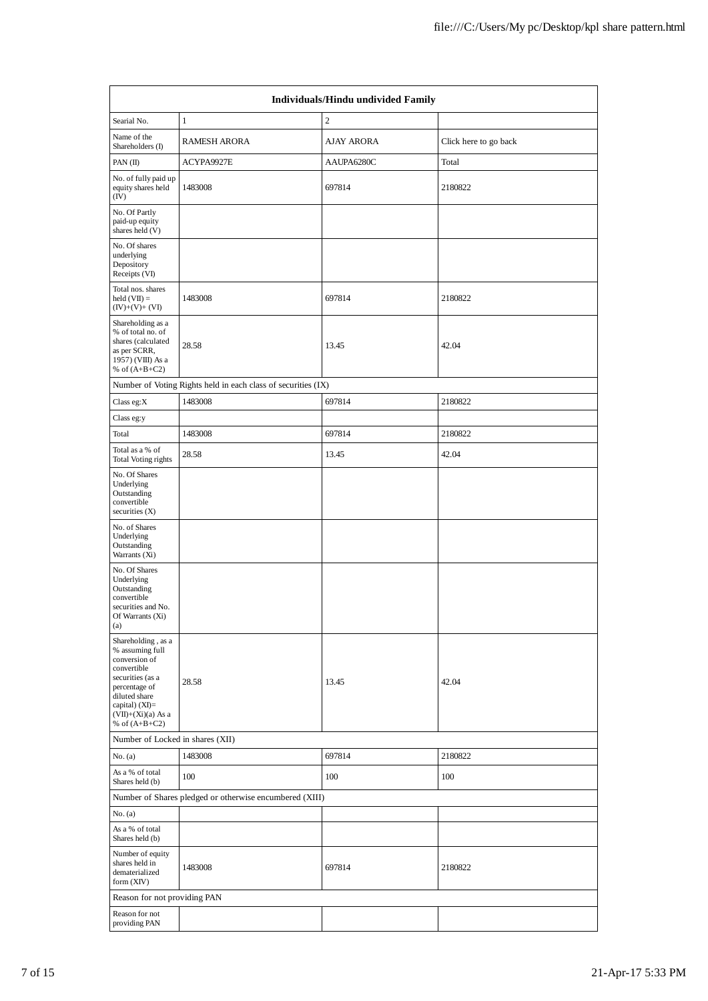| Individuals/Hindu undivided Family                                                                                                                                                         |                                                               |                |                       |  |  |  |  |  |
|--------------------------------------------------------------------------------------------------------------------------------------------------------------------------------------------|---------------------------------------------------------------|----------------|-----------------------|--|--|--|--|--|
| Searial No.                                                                                                                                                                                | $\mathbf{1}$                                                  | $\overline{2}$ |                       |  |  |  |  |  |
| Name of the<br>Shareholders (I)                                                                                                                                                            | <b>RAMESH ARORA</b>                                           | AJAY ARORA     | Click here to go back |  |  |  |  |  |
| PAN $(II)$                                                                                                                                                                                 | ACYPA9927E                                                    | AAUPA6280C     | Total                 |  |  |  |  |  |
| No. of fully paid up<br>equity shares held<br>(IV)                                                                                                                                         | 1483008                                                       | 697814         | 2180822               |  |  |  |  |  |
| No. Of Partly<br>paid-up equity<br>shares held (V)                                                                                                                                         |                                                               |                |                       |  |  |  |  |  |
| No. Of shares<br>underlying<br>Depository<br>Receipts (VI)                                                                                                                                 |                                                               |                |                       |  |  |  |  |  |
| Total nos. shares<br>held $(VII) =$<br>$(IV)+(V)+(VI)$                                                                                                                                     | 1483008                                                       | 697814         | 2180822               |  |  |  |  |  |
| Shareholding as a<br>% of total no. of<br>shares (calculated<br>as per SCRR,<br>1957) (VIII) As a<br>% of $(A+B+C2)$                                                                       | 28.58                                                         | 13.45          | 42.04                 |  |  |  |  |  |
|                                                                                                                                                                                            | Number of Voting Rights held in each class of securities (IX) |                |                       |  |  |  |  |  |
| Class eg:X                                                                                                                                                                                 | 1483008                                                       | 697814         | 2180822               |  |  |  |  |  |
| Class eg:y                                                                                                                                                                                 |                                                               |                |                       |  |  |  |  |  |
| Total                                                                                                                                                                                      | 1483008                                                       | 697814         | 2180822               |  |  |  |  |  |
| Total as a % of<br><b>Total Voting rights</b>                                                                                                                                              | 28.58                                                         | 13.45          | 42.04                 |  |  |  |  |  |
| No. Of Shares<br>Underlying<br>Outstanding<br>convertible<br>securities $(X)$                                                                                                              |                                                               |                |                       |  |  |  |  |  |
| No. of Shares<br>Underlying<br>Outstanding<br>Warrants (Xi)                                                                                                                                |                                                               |                |                       |  |  |  |  |  |
| No. Of Shares<br>Underlying<br>Outstanding<br>convertible<br>securities and No.<br>Of Warrants (Xi)<br>(a)                                                                                 |                                                               |                |                       |  |  |  |  |  |
| Shareholding, as a<br>% assuming full<br>conversion of<br>convertible<br>securities (as a<br>percentage of<br>diluted share<br>capital) $(XI)=$<br>$(VII)+(Xi)(a)$ As a<br>% of $(A+B+C2)$ | 28.58                                                         | 13.45          | 42.04                 |  |  |  |  |  |
| Number of Locked in shares (XII)                                                                                                                                                           |                                                               |                |                       |  |  |  |  |  |
| No. (a)                                                                                                                                                                                    | 1483008                                                       | 697814         | 2180822               |  |  |  |  |  |
| As a % of total<br>Shares held (b)                                                                                                                                                         | 100                                                           | 100            | 100                   |  |  |  |  |  |
|                                                                                                                                                                                            | Number of Shares pledged or otherwise encumbered (XIII)       |                |                       |  |  |  |  |  |
| No. (a)                                                                                                                                                                                    |                                                               |                |                       |  |  |  |  |  |
| As a % of total<br>Shares held (b)                                                                                                                                                         |                                                               |                |                       |  |  |  |  |  |
| Number of equity<br>shares held in<br>dematerialized<br>form $(XIV)$                                                                                                                       | 1483008                                                       | 697814         | 2180822               |  |  |  |  |  |
| Reason for not providing PAN                                                                                                                                                               |                                                               |                |                       |  |  |  |  |  |
| Reason for not<br>providing PAN                                                                                                                                                            |                                                               |                |                       |  |  |  |  |  |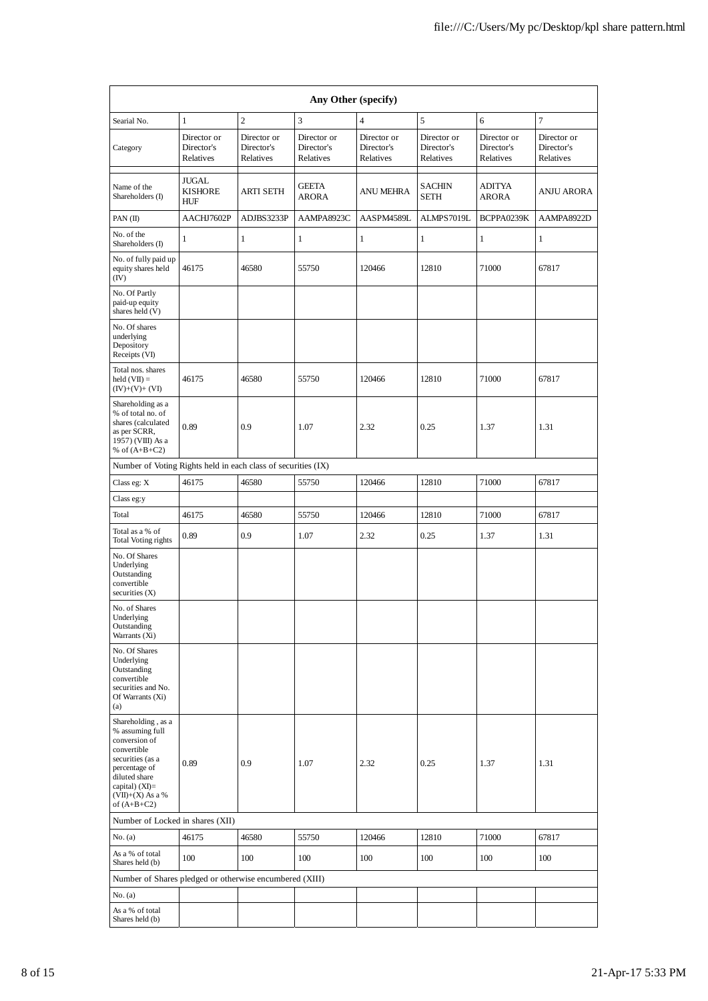| Any Other (specify)                                                                                                                                                                    |                                        |                                        |                                        |                                        |                                        |                                        |                                        |  |  |
|----------------------------------------------------------------------------------------------------------------------------------------------------------------------------------------|----------------------------------------|----------------------------------------|----------------------------------------|----------------------------------------|----------------------------------------|----------------------------------------|----------------------------------------|--|--|
| Searial No.                                                                                                                                                                            | $\mathbf{1}$                           | $\overline{c}$                         | $\overline{3}$                         | $\overline{4}$                         | 5                                      | 6                                      | 7                                      |  |  |
| Category                                                                                                                                                                               | Director or<br>Director's<br>Relatives | Director or<br>Director's<br>Relatives | Director or<br>Director's<br>Relatives | Director or<br>Director's<br>Relatives | Director or<br>Director's<br>Relatives | Director or<br>Director's<br>Relatives | Director or<br>Director's<br>Relatives |  |  |
| Name of the<br>Shareholders (I)                                                                                                                                                        | JUGAL<br><b>KISHORE</b><br>HUF         | ARTI SETH                              | <b>GEETA</b><br><b>ARORA</b>           | ANU MEHRA                              | <b>SACHIN</b><br><b>SETH</b>           | <b>ADITYA</b><br>ARORA                 | <b>ANJU ARORA</b>                      |  |  |
| PAN (II)                                                                                                                                                                               | AACHJ7602P                             | ADJBS3233P                             | AAMPA8923C                             | AASPM4589L                             | ALMPS7019L                             | BCPPA0239K                             | AAMPA8922D                             |  |  |
| No. of the<br>Shareholders (I)                                                                                                                                                         | 1                                      | $\mathbf{1}$                           | $\mathbf{1}$                           | 1                                      | 1                                      | 1                                      | 1                                      |  |  |
| No. of fully paid up<br>equity shares held<br>(IV)                                                                                                                                     | 46175                                  | 46580                                  | 55750                                  | 120466                                 | 12810                                  | 71000                                  | 67817                                  |  |  |
| No. Of Partly<br>paid-up equity<br>shares held (V)                                                                                                                                     |                                        |                                        |                                        |                                        |                                        |                                        |                                        |  |  |
| No. Of shares<br>underlying<br>Depository<br>Receipts (VI)                                                                                                                             |                                        |                                        |                                        |                                        |                                        |                                        |                                        |  |  |
| Total nos. shares<br>$\text{held}(\text{VII}) =$<br>$(IV)+(V)+(VI)$                                                                                                                    | 46175                                  | 46580                                  | 55750                                  | 120466                                 | 12810                                  | 71000                                  | 67817                                  |  |  |
| Shareholding as a<br>% of total no. of<br>shares (calculated<br>as per SCRR,<br>1957) (VIII) As a<br>% of $(A+B+C2)$                                                                   | 0.89                                   | 0.9                                    | 1.07                                   | 2.32                                   | 0.25                                   | 1.37                                   | 1.31                                   |  |  |
| Number of Voting Rights held in each class of securities (IX)                                                                                                                          |                                        |                                        |                                        |                                        |                                        |                                        |                                        |  |  |
| Class eg: X                                                                                                                                                                            | 46175                                  | 46580                                  | 55750                                  | 120466                                 | 12810                                  | 71000                                  | 67817                                  |  |  |
| Class eg:y                                                                                                                                                                             |                                        |                                        |                                        |                                        |                                        |                                        |                                        |  |  |
| Total                                                                                                                                                                                  | 46175                                  | 46580                                  | 55750                                  | 120466                                 | 12810                                  | 71000                                  | 67817                                  |  |  |
| Total as a % of<br>Total Voting rights                                                                                                                                                 | 0.89                                   | 0.9                                    | 1.07                                   | 2.32                                   | 0.25                                   | 1.37                                   | 1.31                                   |  |  |
| No. Of Shares<br>Underlying<br>Outstanding<br>convertible<br>securities $(X)$                                                                                                          |                                        |                                        |                                        |                                        |                                        |                                        |                                        |  |  |
| No. of Shares<br>Underlying<br>Outstanding<br>Warrants (Xi)                                                                                                                            |                                        |                                        |                                        |                                        |                                        |                                        |                                        |  |  |
| No. Of Shares<br>Underlying<br>Outstanding<br>convertible<br>securities and No.<br>Of Warrants (Xi)<br>(a)                                                                             |                                        |                                        |                                        |                                        |                                        |                                        |                                        |  |  |
| Shareholding, as a<br>% assuming full<br>conversion of<br>convertible<br>securities (as a<br>percentage of<br>diluted share<br>capital) $(XI)=$<br>$(VII)+(X)$ As a %<br>of $(A+B+C2)$ | 0.89                                   | 0.9                                    | 1.07                                   | 2.32                                   | 0.25                                   | 1.37                                   | 1.31                                   |  |  |
| Number of Locked in shares (XII)                                                                                                                                                       |                                        |                                        |                                        |                                        |                                        |                                        |                                        |  |  |
| No. (a)                                                                                                                                                                                | 46175                                  | 46580                                  | 55750                                  | 120466                                 | 12810                                  | 71000                                  | 67817                                  |  |  |
| As a % of total<br>Shares held (b)                                                                                                                                                     | 100                                    | 100                                    | 100                                    | 100                                    | 100                                    | 100                                    | 100                                    |  |  |
| Number of Shares pledged or otherwise encumbered (XIII)                                                                                                                                |                                        |                                        |                                        |                                        |                                        |                                        |                                        |  |  |
| No. (a)                                                                                                                                                                                |                                        |                                        |                                        |                                        |                                        |                                        |                                        |  |  |
| As a % of total<br>Shares held (b)                                                                                                                                                     |                                        |                                        |                                        |                                        |                                        |                                        |                                        |  |  |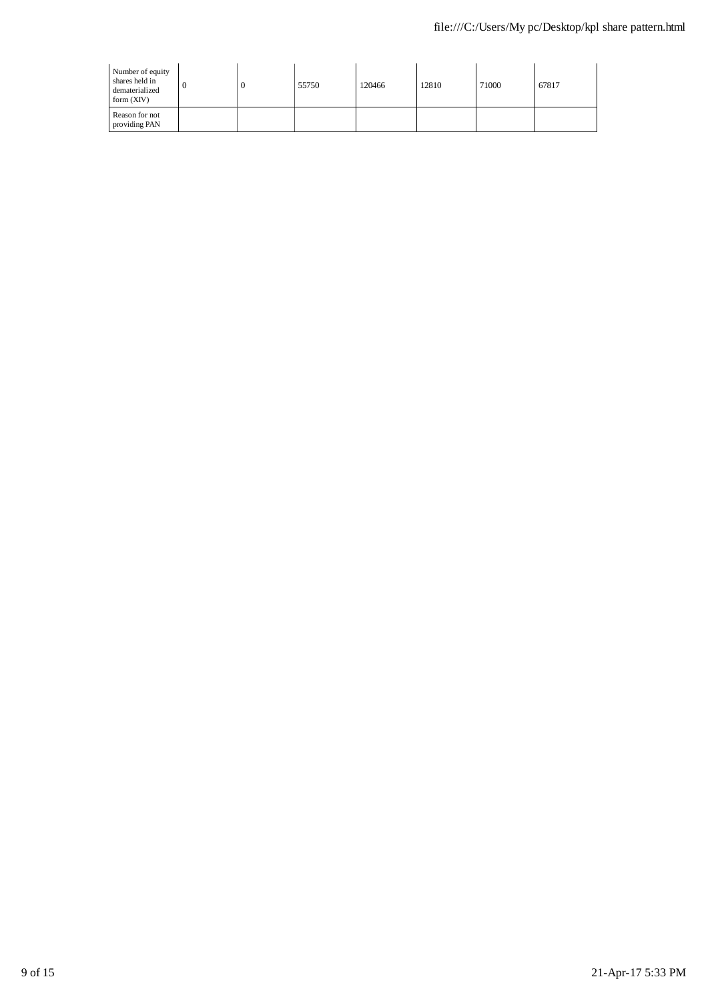| Number of equity<br>shares held in<br>dematerialized<br>form $(XIV)$ |  | 55750 | 120466 | 12810 | 71000 | 67817 |
|----------------------------------------------------------------------|--|-------|--------|-------|-------|-------|
| Reason for not<br>providing PAN                                      |  |       |        |       |       |       |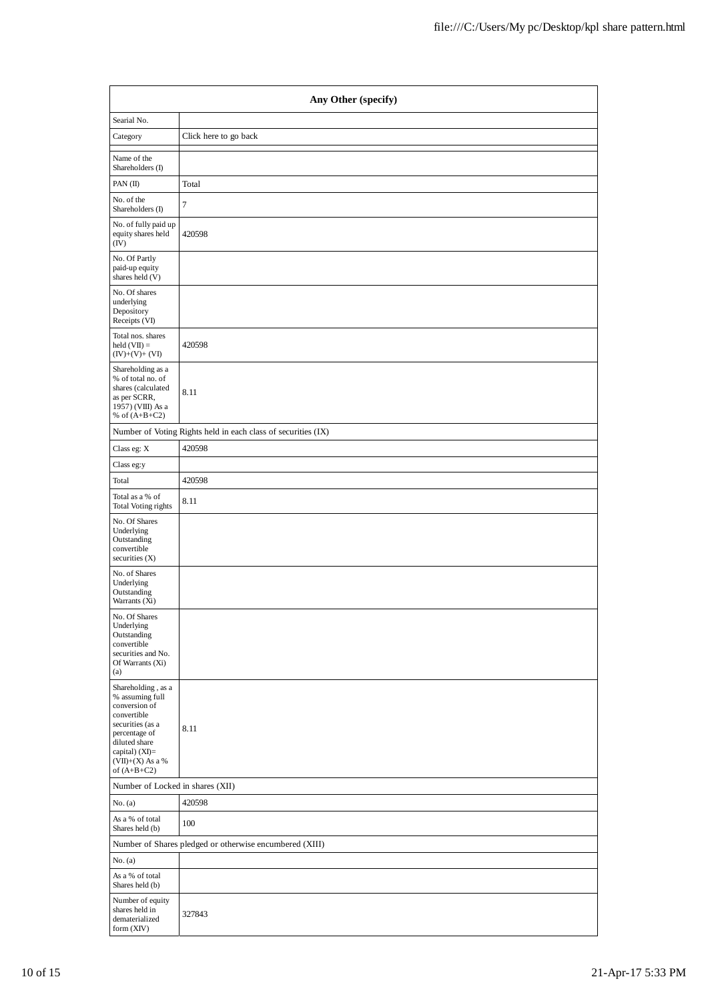| Any Other (specify)                                                                                                                                                                    |                                                               |  |  |  |  |  |
|----------------------------------------------------------------------------------------------------------------------------------------------------------------------------------------|---------------------------------------------------------------|--|--|--|--|--|
| Searial No.                                                                                                                                                                            |                                                               |  |  |  |  |  |
| Category                                                                                                                                                                               | Click here to go back                                         |  |  |  |  |  |
| Name of the<br>Shareholders (I)                                                                                                                                                        |                                                               |  |  |  |  |  |
| PAN (II)                                                                                                                                                                               | Total                                                         |  |  |  |  |  |
| No. of the<br>Shareholders (I)                                                                                                                                                         | 7                                                             |  |  |  |  |  |
| No. of fully paid up<br>equity shares held<br>(IV)                                                                                                                                     | 420598                                                        |  |  |  |  |  |
| No. Of Partly<br>paid-up equity<br>shares held (V)                                                                                                                                     |                                                               |  |  |  |  |  |
| No. Of shares<br>underlying<br>Depository<br>Receipts (VI)                                                                                                                             |                                                               |  |  |  |  |  |
| Total nos. shares<br>$held (VII) =$<br>$(IV)+(V)+(VI)$                                                                                                                                 | 420598                                                        |  |  |  |  |  |
| Shareholding as a<br>% of total no. of<br>shares (calculated<br>as per SCRR,<br>1957) (VIII) As a<br>% of $(A+B+C2)$                                                                   | 8.11                                                          |  |  |  |  |  |
|                                                                                                                                                                                        | Number of Voting Rights held in each class of securities (IX) |  |  |  |  |  |
| Class eg: X                                                                                                                                                                            | 420598                                                        |  |  |  |  |  |
| Class eg:y                                                                                                                                                                             |                                                               |  |  |  |  |  |
| Total                                                                                                                                                                                  | 420598                                                        |  |  |  |  |  |
| Total as a % of<br>Total Voting rights                                                                                                                                                 | 8.11                                                          |  |  |  |  |  |
| No. Of Shares<br>Underlying<br>Outstanding<br>convertible<br>securities (X)                                                                                                            |                                                               |  |  |  |  |  |
| No. of Shares<br>Underlying<br>Outstanding<br>Warrants (Xi)                                                                                                                            |                                                               |  |  |  |  |  |
| No. Of Shares<br>Underlying<br>Outstanding<br>convertible<br>securities and No.<br>Of Warrants (Xi)<br>(a)                                                                             |                                                               |  |  |  |  |  |
| Shareholding, as a<br>% assuming full<br>conversion of<br>convertible<br>securities (as a<br>percentage of<br>diluted share<br>capital) $(XI)=$<br>$(VII)+(X)$ As a %<br>of $(A+B+C2)$ | 8.11                                                          |  |  |  |  |  |
| Number of Locked in shares (XII)                                                                                                                                                       |                                                               |  |  |  |  |  |
| No. (a)                                                                                                                                                                                | 420598                                                        |  |  |  |  |  |
| As a % of total<br>Shares held (b)                                                                                                                                                     | 100                                                           |  |  |  |  |  |
|                                                                                                                                                                                        | Number of Shares pledged or otherwise encumbered (XIII)       |  |  |  |  |  |
| No. (a)                                                                                                                                                                                |                                                               |  |  |  |  |  |
| As a % of total<br>Shares held (b)                                                                                                                                                     |                                                               |  |  |  |  |  |
| Number of equity<br>shares held in<br>dematerialized<br>form (XIV)                                                                                                                     | 327843                                                        |  |  |  |  |  |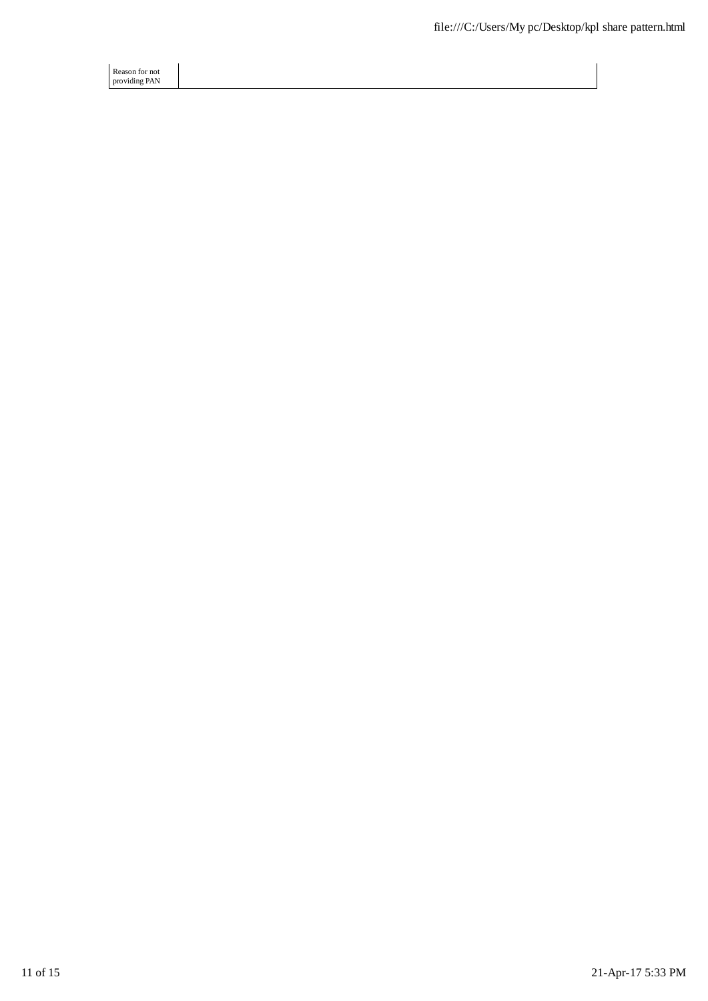Reason for not providing PAN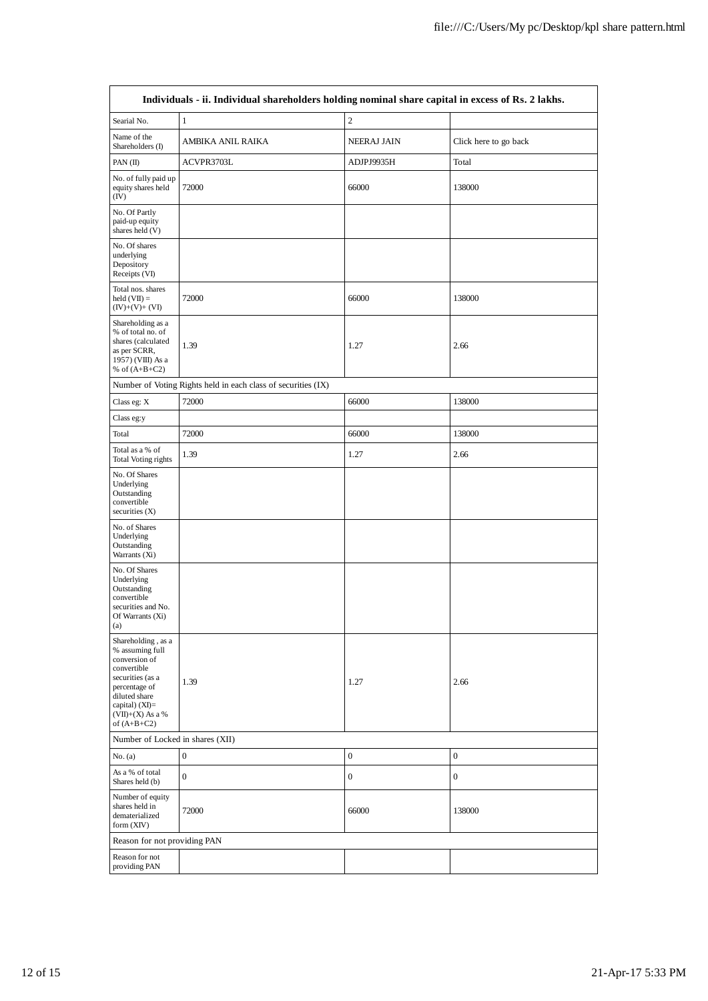| Individuals - ii. Individual shareholders holding nominal share capital in excess of Rs. 2 lakhs.                                                                                      |                                                               |                  |                       |  |  |  |  |  |
|----------------------------------------------------------------------------------------------------------------------------------------------------------------------------------------|---------------------------------------------------------------|------------------|-----------------------|--|--|--|--|--|
| Searial No.                                                                                                                                                                            | $\mathbf{1}$                                                  | $\sqrt{2}$       |                       |  |  |  |  |  |
| Name of the<br>Shareholders (I)                                                                                                                                                        | AMBIKA ANIL RAIKA                                             | NEERAJ JAIN      | Click here to go back |  |  |  |  |  |
| PAN $(II)$                                                                                                                                                                             | ACVPR3703L                                                    | ADJPJ9935H       | Total                 |  |  |  |  |  |
| No. of fully paid up<br>equity shares held<br>(IV)                                                                                                                                     | 72000                                                         | 66000            | 138000                |  |  |  |  |  |
| No. Of Partly<br>paid-up equity<br>shares held (V)                                                                                                                                     |                                                               |                  |                       |  |  |  |  |  |
| No. Of shares<br>underlying<br>Depository<br>Receipts (VI)                                                                                                                             |                                                               |                  |                       |  |  |  |  |  |
| Total nos. shares<br>$held (VII) =$<br>$(IV)+(V)+(VI)$                                                                                                                                 | 72000                                                         | 66000            | 138000                |  |  |  |  |  |
| Shareholding as a<br>% of total no. of<br>shares (calculated<br>as per SCRR,<br>1957) (VIII) As a<br>% of $(A+B+C2)$                                                                   | 1.39                                                          | 1.27             | 2.66                  |  |  |  |  |  |
|                                                                                                                                                                                        | Number of Voting Rights held in each class of securities (IX) |                  |                       |  |  |  |  |  |
| Class eg: X                                                                                                                                                                            | 72000                                                         | 66000            | 138000                |  |  |  |  |  |
| Class eg:y                                                                                                                                                                             |                                                               |                  |                       |  |  |  |  |  |
| Total                                                                                                                                                                                  | 72000                                                         | 66000            | 138000                |  |  |  |  |  |
| Total as a % of<br><b>Total Voting rights</b>                                                                                                                                          | 1.39                                                          | 1.27             | 2.66                  |  |  |  |  |  |
| No. Of Shares<br>Underlying<br>Outstanding<br>convertible<br>securities $(X)$                                                                                                          |                                                               |                  |                       |  |  |  |  |  |
| No. of Shares<br>Underlying<br>Outstanding<br>Warrants (Xi)                                                                                                                            |                                                               |                  |                       |  |  |  |  |  |
| No. Of Shares<br>Underlying<br>Outstanding<br>convertible<br>securities and No.<br>Of Warrants (Xi)<br>(a)                                                                             |                                                               |                  |                       |  |  |  |  |  |
| Shareholding, as a<br>% assuming full<br>conversion of<br>convertible<br>securities (as a<br>percentage of<br>diluted share<br>capital) $(XI)=$<br>$(VII)+(X)$ As a %<br>of $(A+B+C2)$ | 1.39                                                          | 1.27             | 2.66                  |  |  |  |  |  |
| Number of Locked in shares (XII)                                                                                                                                                       |                                                               |                  |                       |  |  |  |  |  |
| No. (a)                                                                                                                                                                                | $\boldsymbol{0}$                                              | $\boldsymbol{0}$ | $\boldsymbol{0}$      |  |  |  |  |  |
| As a % of total<br>Shares held (b)                                                                                                                                                     | $\boldsymbol{0}$                                              | $\boldsymbol{0}$ | $\boldsymbol{0}$      |  |  |  |  |  |
| Number of equity<br>shares held in<br>dematerialized<br>form (XIV)                                                                                                                     | 72000                                                         | 66000            | 138000                |  |  |  |  |  |
| Reason for not providing PAN                                                                                                                                                           |                                                               |                  |                       |  |  |  |  |  |
| Reason for not<br>providing PAN                                                                                                                                                        |                                                               |                  |                       |  |  |  |  |  |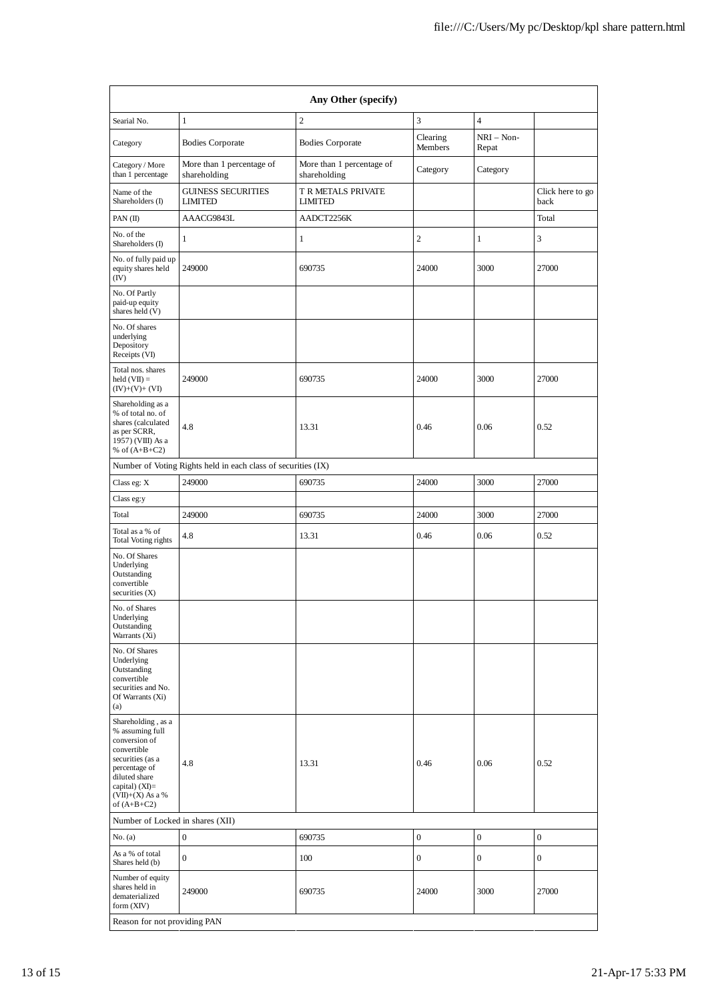| Any Other (specify)                                                                                                                                                                    |                                                               |                                           |                     |                       |                          |  |  |  |
|----------------------------------------------------------------------------------------------------------------------------------------------------------------------------------------|---------------------------------------------------------------|-------------------------------------------|---------------------|-----------------------|--------------------------|--|--|--|
| Searial No.                                                                                                                                                                            | $\mathbf{1}$                                                  | $\overline{c}$                            | 3                   | $\overline{4}$        |                          |  |  |  |
| Category                                                                                                                                                                               | <b>Bodies Corporate</b>                                       | <b>Bodies Corporate</b>                   | Clearing<br>Members | $NRI - Non-$<br>Repat |                          |  |  |  |
| Category / More<br>than 1 percentage                                                                                                                                                   | More than 1 percentage of<br>shareholding                     | More than 1 percentage of<br>shareholding | Category            | Category              |                          |  |  |  |
| Name of the<br>Shareholders (I)                                                                                                                                                        | <b>GUINESS SECURITIES</b><br><b>LIMITED</b>                   | T R METALS PRIVATE<br><b>LIMITED</b>      |                     |                       | Click here to go<br>back |  |  |  |
| PAN (II)                                                                                                                                                                               | AAACG9843L                                                    | AADCT2256K                                |                     |                       | Total                    |  |  |  |
| No. of the<br>Shareholders (I)                                                                                                                                                         | 1                                                             | 1                                         | $\overline{c}$      | 1                     | 3                        |  |  |  |
| No. of fully paid up<br>equity shares held<br>(IV)                                                                                                                                     | 249000                                                        | 690735                                    | 24000               | 3000                  | 27000                    |  |  |  |
| No. Of Partly<br>paid-up equity<br>shares held (V)                                                                                                                                     |                                                               |                                           |                     |                       |                          |  |  |  |
| No. Of shares<br>underlying<br>Depository<br>Receipts (VI)                                                                                                                             |                                                               |                                           |                     |                       |                          |  |  |  |
| Total nos. shares<br>$\text{held}(\text{VII}) =$<br>$(IV)+(V)+(VI)$                                                                                                                    | 249000                                                        | 690735                                    | 24000               | 3000                  | 27000                    |  |  |  |
| Shareholding as a<br>% of total no. of<br>shares (calculated<br>as per SCRR,<br>1957) (VIII) As a<br>% of $(A+B+C2)$                                                                   | 4.8                                                           | 13.31                                     | 0.46                | 0.06                  | 0.52                     |  |  |  |
|                                                                                                                                                                                        | Number of Voting Rights held in each class of securities (IX) |                                           |                     |                       |                          |  |  |  |
| Class eg: X                                                                                                                                                                            | 249000                                                        | 690735                                    | 24000               | 3000                  | 27000                    |  |  |  |
| Class eg:y                                                                                                                                                                             |                                                               |                                           |                     |                       |                          |  |  |  |
| Total                                                                                                                                                                                  | 249000                                                        | 690735                                    | 24000               | 3000                  | 27000                    |  |  |  |
| Total as a % of<br>Total Voting rights                                                                                                                                                 | 4.8                                                           | 13.31                                     | 0.46                | 0.06                  | 0.52                     |  |  |  |
| No. Of Shares<br>Underlying<br>Outstanding<br>convertible<br>securities (X)                                                                                                            |                                                               |                                           |                     |                       |                          |  |  |  |
| No. of Shares<br>Underlying<br>Outstanding<br>Warrants (Xi)                                                                                                                            |                                                               |                                           |                     |                       |                          |  |  |  |
| No. Of Shares<br>Underlying<br>Outstanding<br>convertible<br>securities and No.<br>Of Warrants (Xi)<br>(a)                                                                             |                                                               |                                           |                     |                       |                          |  |  |  |
| Shareholding, as a<br>% assuming full<br>conversion of<br>convertible<br>securities (as a<br>percentage of<br>diluted share<br>capital) $(XI)=$<br>$(VII)+(X)$ As a %<br>of $(A+B+C2)$ | 4.8                                                           | 13.31                                     | 0.46                | 0.06                  | 0.52                     |  |  |  |
| Number of Locked in shares (XII)                                                                                                                                                       |                                                               |                                           |                     |                       |                          |  |  |  |
| No. (a)                                                                                                                                                                                | $\boldsymbol{0}$                                              | 690735                                    | $\boldsymbol{0}$    | $\boldsymbol{0}$      | $\boldsymbol{0}$         |  |  |  |
| As a % of total<br>Shares held (b)                                                                                                                                                     | $\boldsymbol{0}$                                              | 100                                       | $\boldsymbol{0}$    | $\boldsymbol{0}$      | $\boldsymbol{0}$         |  |  |  |
| Number of equity<br>shares held in<br>dematerialized<br>form (XIV)                                                                                                                     | 249000                                                        | 690735                                    | 24000               | 3000                  | 27000                    |  |  |  |
| Reason for not providing PAN                                                                                                                                                           |                                                               |                                           |                     |                       |                          |  |  |  |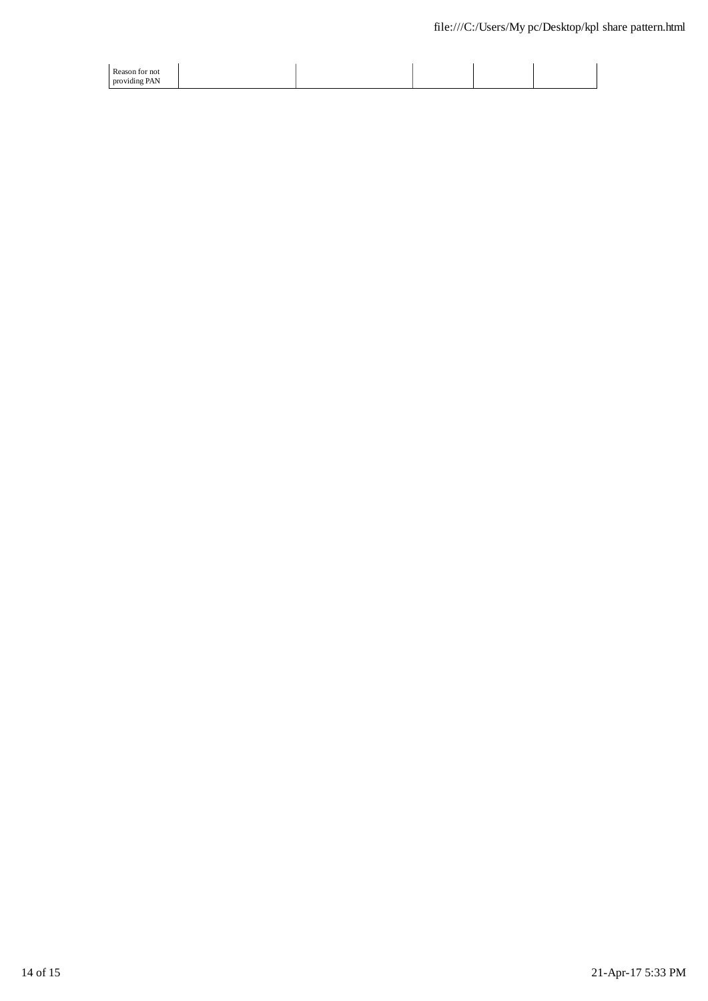| Reason for not |  |  |  |
|----------------|--|--|--|
| providing PAN  |  |  |  |